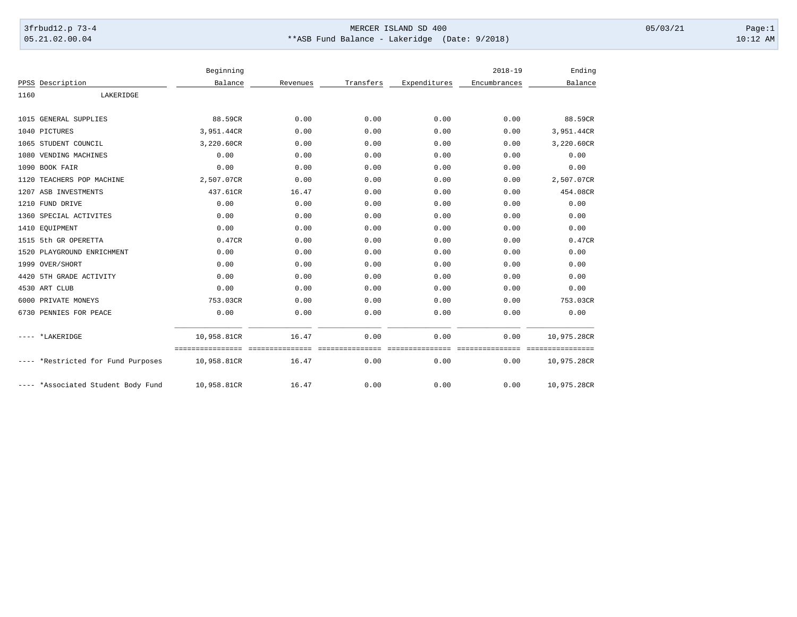## 3frbud12.p 73-4 Page:1 Page:1 05.21.02.00.04 \*\*ASB Fund Balance - Lakeridge (Date: 9/2018) 10:12 AM

|      |                                    | Beginning                       |          |           |                             | $2018 - 19$                 | Ending      |
|------|------------------------------------|---------------------------------|----------|-----------|-----------------------------|-----------------------------|-------------|
|      | PPSS Description                   | Balance                         | Revenues | Transfers | Expenditures                | Encumbrances                | Balance     |
| 1160 | LAKERIDGE                          |                                 |          |           |                             |                             |             |
|      | 1015 GENERAL SUPPLIES              | 88.59CR                         | 0.00     | 0.00      | 0.00                        | 0.00                        | 88.59CR     |
|      | 1040 PICTURES                      | 3,951.44CR                      | 0.00     | 0.00      | 0.00                        | 0.00                        | 3,951.44CR  |
|      | 1065 STUDENT COUNCIL               | 3,220.60CR                      | 0.00     | 0.00      | 0.00                        | 0.00                        | 3,220.60CR  |
|      | 1080 VENDING MACHINES              | 0.00                            | 0.00     | 0.00      | 0.00                        | 0.00                        | 0.00        |
|      | 1090 BOOK FAIR                     | 0.00                            | 0.00     | 0.00      | 0.00                        | 0.00                        | 0.00        |
|      | 1120 TEACHERS POP MACHINE          | 2,507.07CR                      | 0.00     | 0.00      | 0.00                        | 0.00                        | 2,507.07CR  |
|      | 1207 ASB INVESTMENTS               | 437.61CR                        | 16.47    | 0.00      | 0.00                        | 0.00                        | 454.08CR    |
|      | 1210 FUND DRIVE                    | 0.00                            | 0.00     | 0.00      | 0.00                        | 0.00                        | 0.00        |
|      | 1360 SPECIAL ACTIVITES             | 0.00                            | 0.00     | 0.00      | 0.00                        | 0.00                        | 0.00        |
|      | 1410 EQUIPMENT                     | 0.00                            | 0.00     | 0.00      | 0.00                        | 0.00                        | 0.00        |
|      | 1515 5th GR OPERETTA               | 0.47CR                          | 0.00     | 0.00      | 0.00                        | 0.00                        | 0.47CR      |
|      | 1520 PLAYGROUND ENRICHMENT         | 0.00                            | 0.00     | 0.00      | 0.00                        | 0.00                        | 0.00        |
|      | 1999 OVER/SHORT                    | 0.00                            | 0.00     | 0.00      | 0.00                        | 0.00                        | 0.00        |
|      | 4420 5TH GRADE ACTIVITY            | 0.00                            | 0.00     | 0.00      | 0.00                        | 0.00                        | 0.00        |
|      | 4530 ART CLUB                      | 0.00                            | 0.00     | 0.00      | 0.00                        | 0.00                        | 0.00        |
|      | 6000 PRIVATE MONEYS                | 753.03CR                        | 0.00     | 0.00      | 0.00                        | 0.00                        | 753.03CR    |
|      | 6730 PENNIES FOR PEACE             | 0.00                            | 0.00     | 0.00      | 0.00                        | 0.00                        | 0.00        |
|      | ---- *LAKERIDGE                    | 10,958.81CR                     | 16.47    | 0.00      | 0.00                        | 0.00                        | 10,975.28CR |
|      | ---- *Restricted for Fund Purposes | ================<br>10,958.81CR | 16.47    | 0.00      | -deessesses<br>====<br>0.00 | - = = = = = = = = =<br>0.00 | 10,975.28CR |
|      | ---- *Associated Student Body Fund | 10,958.81CR                     | 16.47    | 0.00      | 0.00                        | 0.00                        | 10,975.28CR |